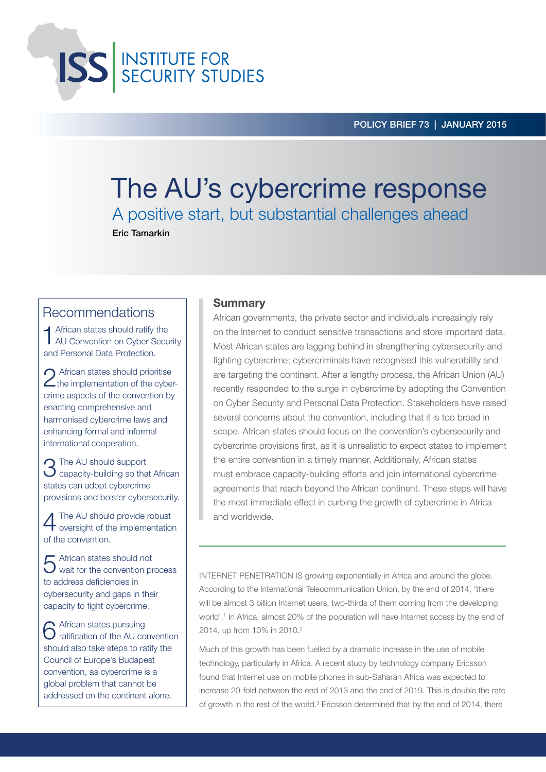**ISS** INSTITUTE FOR

# The AU's cybercrime response A positive start, but substantial challenges ahead

Eric Tamarkin

# Recommendations

 $\blacktriangleleft$  African states should ratify the AU Convention on Cyber Security and Personal Data Protection.

2 African states should prioritise<br>
the implementation of the cybercrime aspects of the convention by enacting comprehensive and harmonised cybercrime laws and enhancing formal and informal international cooperation.

**n** The AU should support  $\bigcup$  capacity-building so that African states can adopt cybercrime provisions and bolster cybersecurity.

4 The AU should provide robust oversight of the implementation of the convention.

5 African states should not wait for the convention process to address deficiencies in cybersecurity and gaps in their capacity to fight cybercrime.

6 African states pursuing ratification of the AU convention should also take steps to ratify the Council of Europe's Budapest convention, as cybercrime is a global problem that cannot be addressed on the continent alone.

## **Summary**

African governments, the private sector and individuals increasingly rely on the Internet to conduct sensitive transactions and store important data. Most African states are lagging behind in strengthening cybersecurity and fighting cybercrime; cybercriminals have recognised this vulnerability and are targeting the continent. After a lengthy process, the African Union (AU) recently responded to the surge in cybercrime by adopting the Convention on Cyber Security and Personal Data Protection. Stakeholders have raised several concerns about the convention, including that it is too broad in scope. African states should focus on the convention's cybersecurity and cybercrime provisions first, as it is unrealistic to expect states to implement the entire convention in a timely manner. Additionally, African states must embrace capacity-building efforts and join international cybercrime agreements that reach beyond the African continent. These steps will have the most immediate effect in curbing the growth of cybercrime in Africa and worldwide.

INTERNET PENETRATION IS growing exponentially in Africa and around the globe. According to the International Telecommunication Union, by the end of 2014, 'there will be almost 3 billion Internet users, two-thirds of them coming from the developing world'.1 In Africa, almost 20% of the population will have Internet access by the end of 2014, up from 10% in 2010.<sup>2</sup>

Much of this growth has been fuelled by a dramatic increase in the use of mobile technology, particularly in Africa. A recent study by technology company Ericsson found that Internet use on mobile phones in sub-Saharan Africa was expected to increase 20-fold between the end of 2013 and the end of 2019. This is double the rate of growth in the rest of the world.3 Ericsson determined that by the end of 2014, there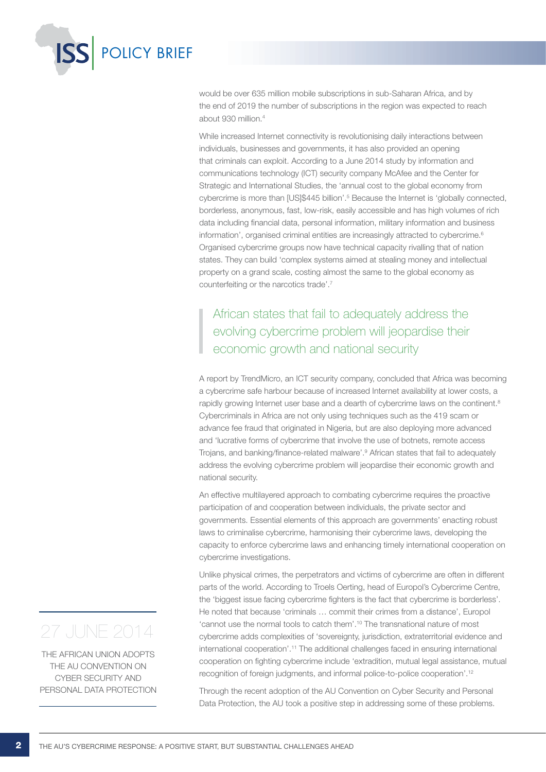

would be over 635 million mobile subscriptions in sub-Saharan Africa, and by the end of 2019 the number of subscriptions in the region was expected to reach about 930 million.4

While increased Internet connectivity is revolutionising daily interactions between individuals, businesses and governments, it has also provided an opening that criminals can exploit. According to a June 2014 study by information and communications technology (ICT) security company McAfee and the Center for Strategic and International Studies, the 'annual cost to the global economy from cybercrime is more than [US]\$445 billion'.<sup>5</sup> Because the Internet is 'globally connected, borderless, anonymous, fast, low-risk, easily accessible and has high volumes of rich data including financial data, personal information, military information and business information', organised criminal entities are increasingly attracted to cybercrime.<sup>6</sup> Organised cybercrime groups now have technical capacity rivalling that of nation states. They can build 'complex systems aimed at stealing money and intellectual property on a grand scale, costing almost the same to the global economy as counterfeiting or the narcotics trade'.7

# African states that fail to adequately address the evolving cybercrime problem will jeopardise their economic growth and national security

A report by TrendMicro, an ICT security company, concluded that Africa was becoming a cybercrime safe harbour because of increased Internet availability at lower costs, a rapidly growing Internet user base and a dearth of cybercrime laws on the continent.<sup>8</sup> Cybercriminals in Africa are not only using techniques such as the 419 scam or advance fee fraud that originated in Nigeria, but are also deploying more advanced and 'lucrative forms of cybercrime that involve the use of botnets, remote access Trojans, and banking/finance-related malware'.9 African states that fail to adequately address the evolving cybercrime problem will jeopardise their economic growth and national security.

An effective multilayered approach to combating cybercrime requires the proactive participation of and cooperation between individuals, the private sector and governments. Essential elements of this approach are governments' enacting robust laws to criminalise cybercrime, harmonising their cybercrime laws, developing the capacity to enforce cybercrime laws and enhancing timely international cooperation on cybercrime investigations.

Unlike physical crimes, the perpetrators and victims of cybercrime are often in different parts of the world. According to Troels Oerting, head of Europol's Cybercrime Centre, the 'biggest issue facing cybercrime fighters is the fact that cybercrime is borderless'. He noted that because 'criminals … commit their crimes from a distance', Europol 'cannot use the normal tools to catch them'.10 The transnational nature of most cybercrime adds complexities of 'sovereignty, jurisdiction, extraterritorial evidence and international cooperation'.11 The additional challenges faced in ensuring international cooperation on fighting cybercrime include 'extradition, mutual legal assistance, mutual recognition of foreign judgments, and informal police-to-police cooperation'.12

Through the recent adoption of the AU Convention on Cyber Security and Personal Data Protection, the AU took a positive step in addressing some of these problems.

# 27 JUNE 2014

The African Union adopts the AU Convention on Cyber Security and Personal Data Protection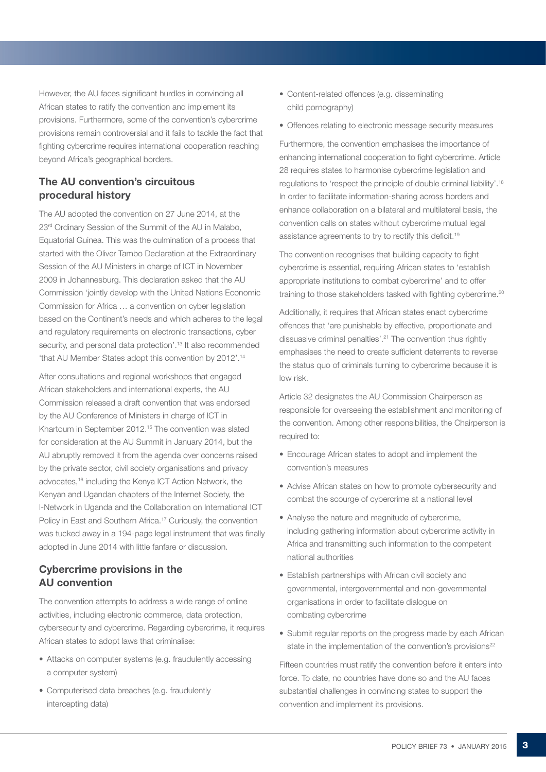However, the AU faces significant hurdles in convincing all African states to ratify the convention and implement its provisions. Furthermore, some of the convention's cybercrime provisions remain controversial and it fails to tackle the fact that fighting cybercrime requires international cooperation reaching beyond Africa's geographical borders.

# The AU convention's circuitous procedural history

The AU adopted the convention on 27 June 2014, at the 23<sup>rd</sup> Ordinary Session of the Summit of the AU in Malabo, Equatorial Guinea. This was the culmination of a process that started with the Oliver Tambo Declaration at the Extraordinary Session of the AU Ministers in charge of ICT in November 2009 in Johannesburg. This declaration asked that the AU Commission 'jointly develop with the United Nations Economic Commission for Africa … a convention on cyber legislation based on the Continent's needs and which adheres to the legal and regulatory requirements on electronic transactions, cyber security, and personal data protection'.<sup>13</sup> It also recommended 'that AU Member States adopt this convention by 2012'.14

After consultations and regional workshops that engaged African stakeholders and international experts, the AU Commission released a draft convention that was endorsed by the AU Conference of Ministers in charge of ICT in Khartoum in September 2012.15 The convention was slated for consideration at the AU Summit in January 2014, but the AU abruptly removed it from the agenda over concerns raised by the private sector, civil society organisations and privacy advocates,16 including the Kenya ICT Action Network, the Kenyan and Ugandan chapters of the Internet Society, the I-Network in Uganda and the Collaboration on International ICT Policy in East and Southern Africa.<sup>17</sup> Curiously, the convention was tucked away in a 194-page legal instrument that was finally adopted in June 2014 with little fanfare or discussion.

# Cybercrime provisions in the AU convention

The convention attempts to address a wide range of online activities, including electronic commerce, data protection, cybersecurity and cybercrime. Regarding cybercrime, it requires African states to adopt laws that criminalise:

- Attacks on computer systems (e.g. fraudulently accessing a computer system)
- Computerised data breaches (e.g. fraudulently intercepting data)
- Content-related offences (e.g. disseminating child pornography)
- Offences relating to electronic message security measures

Furthermore, the convention emphasises the importance of enhancing international cooperation to fight cybercrime. Article 28 requires states to harmonise cybercrime legislation and regulations to 'respect the principle of double criminal liability'.18 In order to facilitate information-sharing across borders and enhance collaboration on a bilateral and multilateral basis, the convention calls on states without cybercrime mutual legal assistance agreements to try to rectify this deficit.<sup>19</sup>

The convention recognises that building capacity to fight cybercrime is essential, requiring African states to 'establish appropriate institutions to combat cybercrime' and to offer training to those stakeholders tasked with fighting cybercrime.<sup>20</sup>

Additionally, it requires that African states enact cybercrime offences that 'are punishable by effective, proportionate and dissuasive criminal penalties'.21 The convention thus rightly emphasises the need to create sufficient deterrents to reverse the status quo of criminals turning to cybercrime because it is low risk.

Article 32 designates the AU Commission Chairperson as responsible for overseeing the establishment and monitoring of the convention. Among other responsibilities, the Chairperson is required to:

- Encourage African states to adopt and implement the convention's measures
- Advise African states on how to promote cybersecurity and combat the scourge of cybercrime at a national level
- Analyse the nature and magnitude of cybercrime, including gathering information about cybercrime activity in Africa and transmitting such information to the competent national authorities
- Establish partnerships with African civil society and governmental, intergovernmental and non-governmental organisations in order to facilitate dialogue on combating cybercrime
- Submit regular reports on the progress made by each African state in the implementation of the convention's provisions<sup>22</sup>

Fifteen countries must ratify the convention before it enters into force. To date, no countries have done so and the AU faces substantial challenges in convincing states to support the convention and implement its provisions.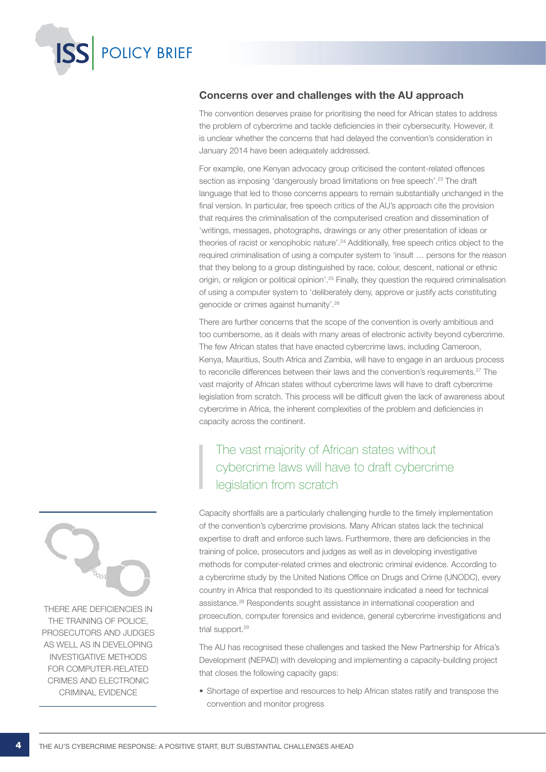

## Concerns over and challenges with the AU approach

The convention deserves praise for prioritising the need for African states to address the problem of cybercrime and tackle deficiencies in their cybersecurity. However, it is unclear whether the concerns that had delayed the convention's consideration in January 2014 have been adequately addressed.

For example, one Kenyan advocacy group criticised the content-related offences section as imposing 'dangerously broad limitations on free speech'.<sup>23</sup> The draft language that led to those concerns appears to remain substantially unchanged in the final version. In particular, free speech critics of the AU's approach cite the provision that requires the criminalisation of the computerised creation and dissemination of 'writings, messages, photographs, drawings or any other presentation of ideas or theories of racist or xenophobic nature'.24 Additionally, free speech critics object to the required criminalisation of using a computer system to 'insult … persons for the reason that they belong to a group distinguished by race, colour, descent, national or ethnic origin, or religion or political opinion'.25 Finally, they question the required criminalisation of using a computer system to 'deliberately deny, approve or justify acts constituting genocide or crimes against humanity'.26

There are further concerns that the scope of the convention is overly ambitious and too cumbersome, as it deals with many areas of electronic activity beyond cybercrime. The few African states that have enacted cybercrime laws, including Cameroon, Kenya, Mauritius, South Africa and Zambia, will have to engage in an arduous process to reconcile differences between their laws and the convention's requirements.<sup>27</sup> The vast majority of African states without cybercrime laws will have to draft cybercrime legislation from scratch. This process will be difficult given the lack of awareness about cybercrime in Africa, the inherent complexities of the problem and deficiencies in capacity across the continent.

# The vast majority of African states without cybercrime laws will have to draft cybercrime legislation from scratch

Capacity shortfalls are a particularly challenging hurdle to the timely implementation of the convention's cybercrime provisions. Many African states lack the technical expertise to draft and enforce such laws. Furthermore, there are deficiencies in the training of police, prosecutors and judges as well as in developing investigative methods for computer-related crimes and electronic criminal evidence. According to a cybercrime study by the United Nations Office on Drugs and Crime (UNODC), every country in Africa that responded to its questionnaire indicated a need for technical assistance.28 Respondents sought assistance in international cooperation and prosecution, computer forensics and evidence, general cybercrime investigations and trial support.<sup>29</sup>

The AU has recognised these challenges and tasked the New Partnership for Africa's Development (NEPAD) with developing and implementing a capacity-building project that closes the following capacity gaps:

• Shortage of expertise and resources to help African states ratify and transpose the convention and monitor progress



there are deficiencies in the training of police, prosecutors and judges as well as in developing investigative methods for computer-related crimes and electronic criminal evidence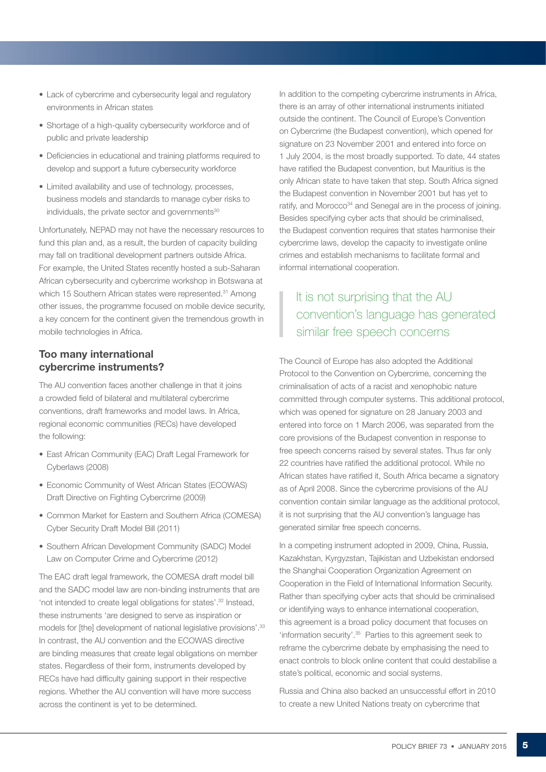- Lack of cybercrime and cybersecurity legal and regulatory environments in African states
- Shortage of a high-quality cybersecurity workforce and of public and private leadership
- Deficiencies in educational and training platforms required to develop and support a future cybersecurity workforce
- Limited availability and use of technology, processes, business models and standards to manage cyber risks to individuals, the private sector and governments<sup>30</sup>

Unfortunately, NEPAD may not have the necessary resources to fund this plan and, as a result, the burden of capacity building may fall on traditional development partners outside Africa. For example, the United States recently hosted a sub-Saharan African cybersecurity and cybercrime workshop in Botswana at which 15 Southern African states were represented.<sup>31</sup> Among other issues, the programme focused on mobile device security, a key concern for the continent given the tremendous growth in mobile technologies in Africa.

## Too many international cybercrime instruments?

The AU convention faces another challenge in that it joins a crowded field of bilateral and multilateral cybercrime conventions, draft frameworks and model laws. In Africa, regional economic communities (RECs) have developed the following:

- East African Community (EAC) Draft Legal Framework for Cyberlaws (2008)
- Economic Community of West African States (ECOWAS) Draft Directive on Fighting Cybercrime (2009)
- Common Market for Eastern and Southern Africa (COMESA) Cyber Security Draft Model Bill (2011)
- Southern African Development Community (SADC) Model Law on Computer Crime and Cybercrime (2012)

The EAC draft legal framework, the COMESA draft model bill and the SADC model law are non-binding instruments that are 'not intended to create legal obligations for states'.32 Instead, these instruments 'are designed to serve as inspiration or models for [the] development of national legislative provisions'.<sup>33</sup> In contrast, the AU convention and the ECOWAS directive are binding measures that create legal obligations on member states. Regardless of their form, instruments developed by RECs have had difficulty gaining support in their respective regions. Whether the AU convention will have more success across the continent is yet to be determined.

In addition to the competing cybercrime instruments in Africa, there is an array of other international instruments initiated outside the continent. The Council of Europe's Convention on Cybercrime (the Budapest convention), which opened for signature on 23 November 2001 and entered into force on 1 July 2004, is the most broadly supported. To date, 44 states have ratified the Budapest convention, but Mauritius is the only African state to have taken that step. South Africa signed the Budapest convention in November 2001 but has yet to ratify, and Morocco<sup>34</sup> and Senegal are in the process of joining. Besides specifying cyber acts that should be criminalised, the Budapest convention requires that states harmonise their cybercrime laws, develop the capacity to investigate online crimes and establish mechanisms to facilitate formal and informal international cooperation.

# It is not surprising that the AU convention's language has generated similar free speech concerns

The Council of Europe has also adopted the Additional Protocol to the Convention on Cybercrime, concerning the criminalisation of acts of a racist and xenophobic nature committed through computer systems. This additional protocol, which was opened for signature on 28 January 2003 and entered into force on 1 March 2006, was separated from the core provisions of the Budapest convention in response to free speech concerns raised by several states. Thus far only 22 countries have ratified the additional protocol. While no African states have ratified it, South Africa became a signatory as of April 2008. Since the cybercrime provisions of the AU convention contain similar language as the additional protocol, it is not surprising that the AU convention's language has generated similar free speech concerns.

In a competing instrument adopted in 2009, China, Russia, Kazakhstan, Kyrgyzstan, Tajikistan and Uzbekistan endorsed the Shanghai Cooperation Organization Agreement on Cooperation in the Field of International Information Security. Rather than specifying cyber acts that should be criminalised or identifying ways to enhance international cooperation, this agreement is a broad policy document that focuses on 'information security'.35 Parties to this agreement seek to reframe the cybercrime debate by emphasising the need to enact controls to block online content that could destabilise a state's political, economic and social systems.

Russia and China also backed an unsuccessful effort in 2010 to create a new United Nations treaty on cybercrime that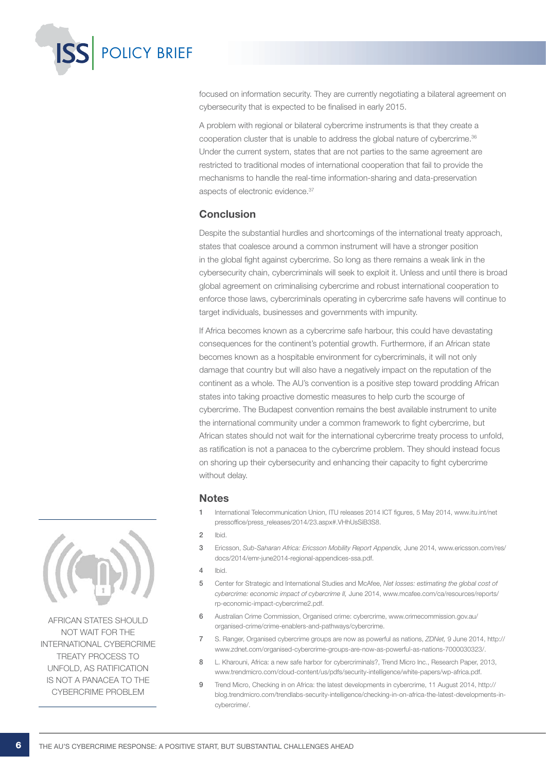

focused on information security. They are currently negotiating a bilateral agreement on cybersecurity that is expected to be finalised in early 2015.

A problem with regional or bilateral cybercrime instruments is that they create a cooperation cluster that is unable to address the global nature of cybercrime.36 Under the current system, states that are not parties to the same agreement are restricted to traditional modes of international cooperation that fail to provide the mechanisms to handle the real-time information-sharing and data-preservation aspects of electronic evidence.<sup>37</sup>

## Conclusion

Despite the substantial hurdles and shortcomings of the international treaty approach, states that coalesce around a common instrument will have a stronger position in the global fight against cybercrime. So long as there remains a weak link in the cybersecurity chain, cybercriminals will seek to exploit it. Unless and until there is broad global agreement on criminalising cybercrime and robust international cooperation to enforce those laws, cybercriminals operating in cybercrime safe havens will continue to target individuals, businesses and governments with impunity.

If Africa becomes known as a cybercrime safe harbour, this could have devastating consequences for the continent's potential growth. Furthermore, if an African state becomes known as a hospitable environment for cybercriminals, it will not only damage that country but will also have a negatively impact on the reputation of the continent as a whole. The AU's convention is a positive step toward prodding African states into taking proactive domestic measures to help curb the scourge of cybercrime. The Budapest convention remains the best available instrument to unite the international community under a common framework to fight cybercrime, but African states should not wait for the international cybercrime treaty process to unfold, as ratification is not a panacea to the cybercrime problem. They should instead focus on shoring up their cybersecurity and enhancing their capacity to fight cybercrime without delay.

#### **Notes**

- 1 International Telecommunication Union, ITU releases 2014 ICT figures, 5 May 2014, www.itu.int/net pressoffice/press\_releases/2014/23.aspx#.VHhUsSiB3S8.
- 2 Ibid.
- 3 Ericsson, *Sub-Saharan Africa: Ericsson Mobility Report Appendix,* June 2014, www.ericsson.com/res/ docs/2014/emr-june2014-regional-appendices-ssa.pdf.
- 4 Ibid.
- 5 Center for Strategic and International Studies and McAfee, *Net losses: estimating the global cost of cybercrime: economic impact of cybercrime II,* June 2014, www.mcafee.com/ca/resources/reports/ rp-economic-impact-cybercrime2.pdf.
- 6 Australian Crime Commission, Organised crime: cybercrime, www.crimecommission.gov.au/ organised-crime/crime-enablers-and-pathways/cybercrime.
- 7 S. Ranger, Organised cybercrime groups are now as powerful as nations, *ZDNet,* 9 June 2014, http:// www.zdnet.com/organised-cybercrime-groups-are-now-as-powerful-as-nations-7000030323/.
- 8 L. Kharouni, Africa: a new safe harbor for cybercriminals?, Trend Micro Inc., Research Paper, 2013, www.trendmicro.com/cloud-content/us/pdfs/security-intelligence/white-papers/wp-africa.pdf.
- 9 Trend Micro, Checking in on Africa: the latest developments in cybercrime, 11 August 2014, http:// blog.trendmicro.com/trendlabs-security-intelligence/checking-in-on-africa-the-latest-developments-incybercrime/.



African states should not wait for the international cybercrime treaty process to unfold, as ratification is not a panacea to the cybercrime problem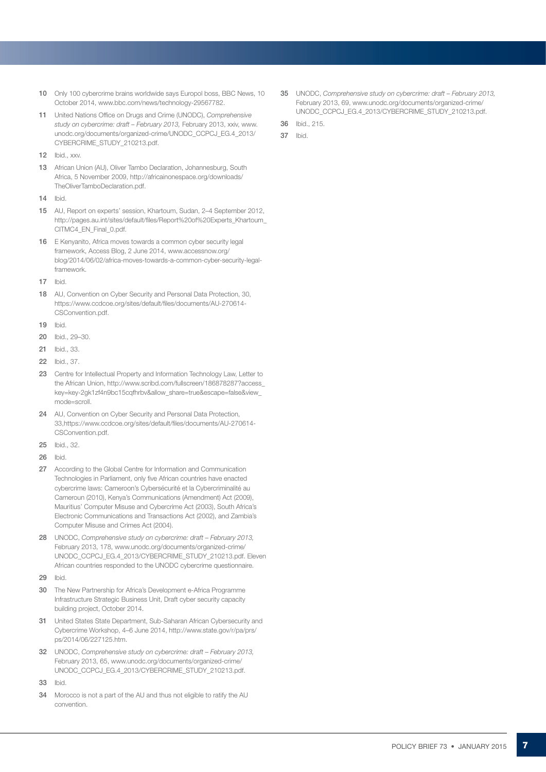- 10 Only 100 cybercrime brains worldwide says Europol boss, BBC News, 10 October 2014, www.bbc.com/news/technology-29567782.
- 11 United Nations Office on Drugs and Crime (UNODC), *Comprehensive study on cybercrime: draft – February 2013,* February 2013, xxiv, www. unodc.org/documents/organized-crime/UNODC\_CCPCJ\_EG.4\_2013/ CYBERCRIME\_STUDY\_210213.pdf.
- 12 Ibid., xxv.
- 13 African Union (AU), Oliver Tambo Declaration, Johannesburg, South Africa, 5 November 2009, http://africainonespace.org/downloads/ TheOliverTamboDeclaration.pdf.
- 14 Ibid.
- 15 AU, Report on experts' session, Khartoum, Sudan, 2–4 September 2012, http://pages.au.int/sites/default/files/Report%20of%20Experts\_Khartoum\_ CITMC4\_EN\_Final\_0.pdf.
- 16 E Kenyanito, Africa moves towards a common cyber security legal framework, Access Blog, 2 June 2014, www.accessnow.org/ blog/2014/06/02/africa-moves-towards-a-common-cyber-security-legalframework.
- 17 Ibid.
- 18 AU, Convention on Cyber Security and Personal Data Protection, 30, https://www.ccdcoe.org/sites/default/files/documents/AU-270614- CSConvention.pdf.
- 19 Ibid.
- 20 Ibid., 29–30.
- 21 Ibid., 33.
- 22 Ibid., 37.
- 23 Centre for Intellectual Property and Information Technology Law, Letter to the African Union, http://www.scribd.com/fullscreen/186878287?access\_ key=key-2gk1zf4n9bc15cqfhrbv&allow\_share=true&escape=false&view\_ mode=scroll.
- 24 AU, Convention on Cyber Security and Personal Data Protection, 33,https://www.ccdcoe.org/sites/default/files/documents/AU-270614- CSConvention.pdf.
- 25 Ibid., 32.
- 26 Ibid.
- 27 According to the Global Centre for Information and Communication Technologies in Parliament, only five African countries have enacted cybercrime laws: Cameroon's Cybersécurité et la Cybercriminalité au Cameroun (2010), Kenya's Communications (Amendment) Act (2009), Mauritius' Computer Misuse and Cybercrime Act (2003), South Africa's Electronic Communications and Transactions Act (2002), and Zambia's Computer Misuse and Crimes Act (2004).
- 28 UNODC, *Comprehensive study on cybercrime: draft February 2013,*  February 2013, 178, www.unodc.org/documents/organized-crime/ UNODC\_CCPCJ\_EG.4\_2013/CYBERCRIME\_STUDY\_210213.pdf. Eleven African countries responded to the UNODC cybercrime questionnaire.
- 29 Ibid.
- 30 The New Partnership for Africa's Development e-Africa Programme Infrastructure Strategic Business Unit, Draft cyber security capacity building project, October 2014.
- 31 United States State Department, Sub-Saharan African Cybersecurity and Cybercrime Workshop, 4–6 June 2014, http://www.state.gov/r/pa/prs/ ps/2014/06/227125.htm.
- 32 UNODC, *Comprehensive study on cybercrime: draft February 2013,*  February 2013, 65, www.unodc.org/documents/organized-crime/ UNODC\_CCPCJ\_EG.4\_2013/CYBERCRIME\_STUDY\_210213.pdf.
- 33 Ibid.
- 34 Morocco is not a part of the AU and thus not eligible to ratify the AU convention.

35 UNODC, *Comprehensive study on cybercrime: draft – February 2013,*  February 2013, 69, www.unodc.org/documents/organized-crime/ UNODC\_CCPCJ\_EG.4\_2013/CYBERCRIME\_STUDY\_210213.pdf.

36 Ibid., 215.

37 Ibid.